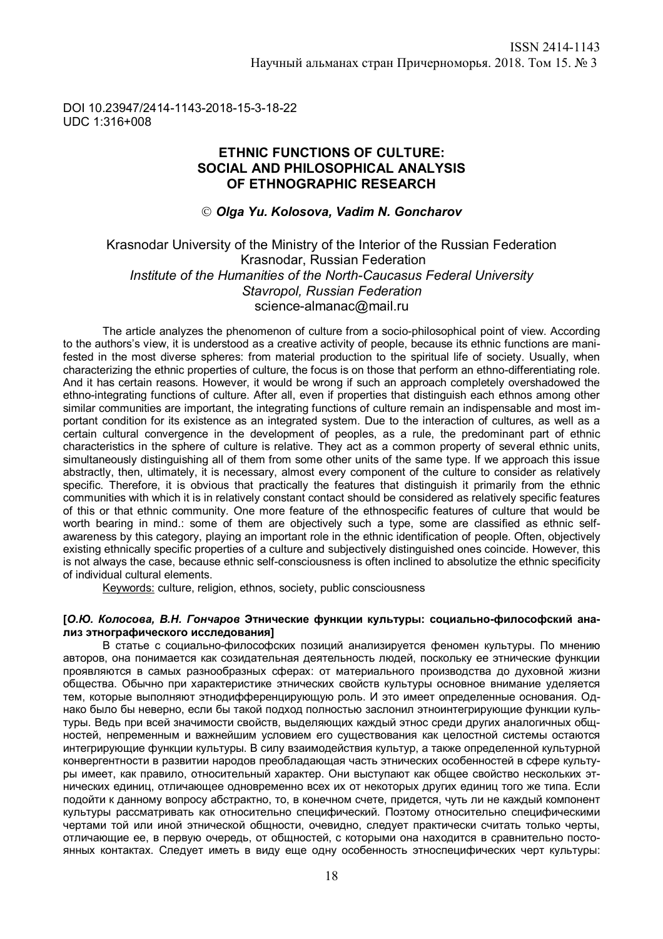#### DOI 10.23947/2414-1143-2018-15-3-18-22 UDC 1:316+008

## **ETHNIC FUNCTIONS OF CULTURE: SOCIAL AND PHILOSOPHICAL ANALYSIS OF ETHNOGRAPHIC RESEARCH**

### *Olga Yu. Kolosova, Vadim N. Goncharov*

## Krasnodar University of the Ministry of the Interior of the Russian Federation Krasnodar, Russian Federation *Institute of the Humanities of the North-Caucasus Federal University Stavropol, Russian Federation* science-almanac@mail.ru

The article analyzes the phenomenon of culture from a socio-philosophical point of view. According to the authors's view, it is understood as a creative activity of people, because its ethnic functions are manifested in the most diverse spheres: from material production to the spiritual life of society. Usually, when characterizing the ethnic properties of culture, the focus is on those that perform an ethno-differentiating role. And it has certain reasons. However, it would be wrong if such an approach completely overshadowed the ethno-integrating functions of culture. After all, even if properties that distinguish each ethnos among other similar communities are important, the integrating functions of culture remain an indispensable and most important condition for its existence as an integrated system. Due to the interaction of cultures, as well as a certain cultural convergence in the development of peoples, as a rule, the predominant part of ethnic characteristics in the sphere of culture is relative. They act as a common property of several ethnic units, simultaneously distinguishing all of them from some other units of the same type. If we approach this issue abstractly, then, ultimately, it is necessary, almost every component of the culture to consider as relatively specific. Therefore, it is obvious that practically the features that distinguish it primarily from the ethnic communities with which it is in relatively constant contact should be considered as relatively specific features of this or that ethnic community. One more feature of the ethnospecific features of culture that would be worth bearing in mind.: some of them are objectively such a type, some are classified as ethnic selfawareness by this category, playing an important role in the ethnic identification of people. Often, objectively existing ethnically specific properties of a culture and subjectively distinguished ones coincide. However, this is not always the case, because ethnic self-consciousness is often inclined to absolutize the ethnic specificity of individual cultural elements.

Keywords: culture, religion, ethnos, society, public consciousness

#### **[***О.Ю. Колосова, В.Н. Гончаров* **Этнические функции культуры: социально-философский анализ этнографического исследования]**

В статье с социально-философских позиций анализируется феномен культуры. По мнению авторов, она понимается как созидательная деятельность людей, поскольку ее этнические функции проявляются в самых разнообразных сферах: от материального производства до духовной жизни общества. Обычно при характеристике этнических свойств культуры основное внимание уделяется тем, которые выполняют этнодифференцирующую роль. И это имеет определенные основания. Однако было бы неверно, если бы такой подход полностью заслонил этноинтегрирующие функции культуры. Ведь при всей значимости свойств, выделяющих каждый этнос среди других аналогичных общностей, непременным и важнейшим условием его существования как целостной системы остаются интегрирующие функции культуры. В силу взаимодействия культур, а также определенной культурной конвергентности в развитии народов преобладающая часть этнических особенностей в сфере культуры имеет, как правило, относительный характер. Они выступают как общее свойство нескольких этнических единиц, отличающее одновременно всех их от некоторых других единиц того же типа. Если подойти к данному вопросу абстрактно, то, в конечном счете, придется, чуть ли не каждый компонент культуры рассматривать как относительно специфический. Поэтому относительно специфическими чертами той или иной этнической общности, очевидно, следует практически считать только черты, отличающие ее, в первую очередь, от общностей, с которыми она находится в сравнительно постоянных контактах. Следует иметь в виду еще одну особенность этноспецифических черт культуры: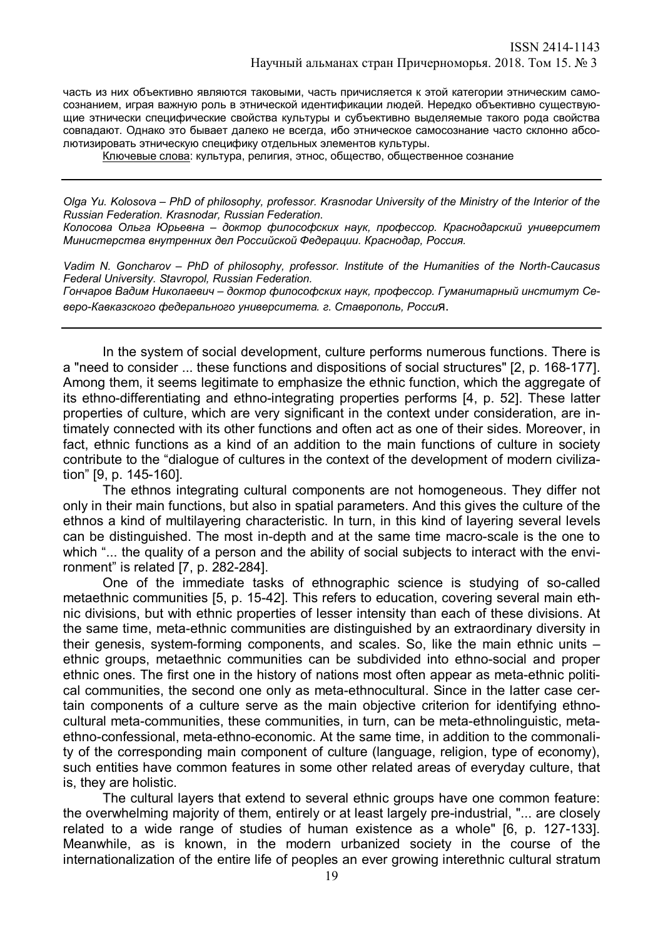часть из них объективно являются таковыми, часть причисляется к этой категории этническим самосознанием, играя важную роль в этнической идентификации людей. Нередко объективно существующие этнически специфические свойства культуры и субъективно выделяемые такого рода свойства совпадают. Однако это бывает далеко не всегда, ибо этническое самосознание часто склонно абсолютизировать этническую специфику отдельных элементов культуры.

Ключевые слова: культура, религия, этнос, общество, общественное сознание

*Olga Yu. Kolosova – PhD of philosophy, professor. Krasnodar University of the Ministry of the Interior of the Russian Federation. Krasnodar, Russian Federation.*

*Колосова Ольга Юрьевна – доктор философских наук, профессор. Краснодарский университет Министерства внутренних дел Российской Федерации. Краснодар, Россия.*

*Vadim N. Goncharov – PhD of philosophy, professor. Institute of the Humanities of the North-Caucasus Federal University. Stavropol, Russian Federation.*

*Гончаров Вадим Николаевич – доктор философских наук, профессор. Гуманитарный институт Северо-Кавказского федерального университета. г. Ставрополь, Росси*я.

In the system of social development, culture performs numerous functions. There is a "need to consider ... these functions and dispositions of social structures" [2, p. 168-177]. Among them, it seems legitimate to emphasize the ethnic function, which the aggregate of its ethno-differentiating and ethno-integrating properties performs [4, p. 52]. These latter properties of culture, which are very significant in the context under consideration, are intimately connected with its other functions and often act as one of their sides. Moreover, in fact, ethnic functions as a kind of an addition to the main functions of culture in society contribute to the "dialogue of cultures in the context of the development of modern civilization" [9, p. 145-160].

The ethnos integrating cultural components are not homogeneous. They differ not only in their main functions, but also in spatial parameters. And this gives the culture of the ethnos a kind of multilayering characteristic. In turn, in this kind of layering several levels can be distinguished. The most in-depth and at the same time macro-scale is the one to which "... the quality of a person and the ability of social subjects to interact with the environment" is related [7, p. 282-284].

One of the immediate tasks of ethnographic science is studying of so-called metaethnic communities [5, p. 15-42]. This refers to education, covering several main ethnic divisions, but with ethnic properties of lesser intensity than each of these divisions. At the same time, meta-ethnic communities are distinguished by an extraordinary diversity in their genesis, system-forming components, and scales. So, like the main ethnic units – ethnic groups, metaethnic communities can be subdivided into ethno-social and proper ethnic ones. The first one in the history of nations most often appear as meta-ethnic political communities, the second one only as meta-ethnocultural. Since in the latter case certain components of a culture serve as the main objective criterion for identifying ethnocultural meta-communities, these communities, in turn, can be meta-ethnolinguistic, metaethno-confessional, meta-ethno-economic. At the same time, in addition to the commonality of the corresponding main component of culture (language, religion, type of economy), such entities have common features in some other related areas of everyday culture, that is, they are holistic.

The cultural layers that extend to several ethnic groups have one common feature: the overwhelming majority of them, entirely or at least largely pre-industrial, "... are closely related to a wide range of studies of human existence as a whole" [6, p. 127-133]. Meanwhile, as is known, in the modern urbanized society in the course of the internationalization of the entire life of peoples an ever growing interethnic cultural stratum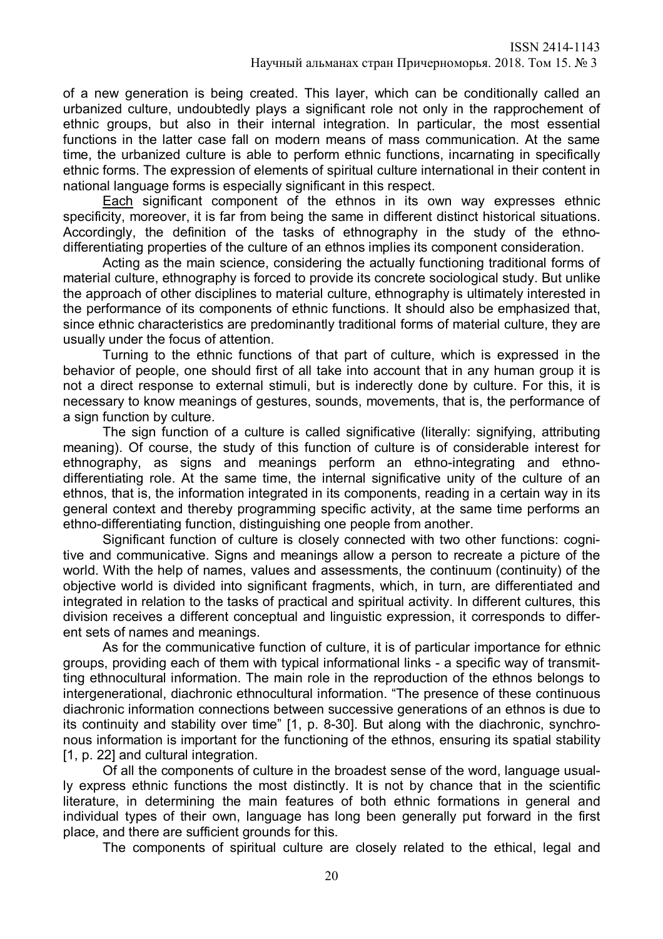of a new generation is being created. This layer, which can be conditionally called an urbanized culture, undoubtedly plays a significant role not only in the rapprochement of ethnic groups, but also in their internal integration. In particular, the most essential functions in the latter case fall on modern means of mass communication. At the same time, the urbanized culture is able to perform ethnic functions, incarnating in specifically ethnic forms. The expression of elements of spiritual culture international in their content in national language forms is especially significant in this respect.

Each significant component of the ethnos in its own way expresses ethnic specificity, moreover, it is far from being the same in different distinct historical situations. Accordingly, the definition of the tasks of ethnography in the study of the ethnodifferentiating properties of the culture of an ethnos implies its component consideration.

Acting as the main science, considering the actually functioning traditional forms of material culture, ethnography is forced to provide its concrete sociological study. But unlike the approach of other disciplines to material culture, ethnography is ultimately interested in the performance of its components of ethnic functions. It should also be emphasized that, since ethnic characteristics are predominantly traditional forms of material culture, they are usually under the focus of attention.

Turning to the ethnic functions of that part of culture, which is expressed in the behavior of people, one should first of all take into account that in any human group it is not a direct response to external stimuli, but is inderectly done by culture. For this, it is necessary to know meanings of gestures, sounds, movements, that is, the performance of a sign function by culture.

The sign function of a culture is called significative (literally: signifying, attributing meaning). Of course, the study of this function of culture is of considerable interest for ethnography, as signs and meanings perform an ethno-integrating and ethnodifferentiating role. At the same time, the internal significative unity of the culture of an ethnos, that is, the information integrated in its components, reading in a certain way in its general context and thereby programming specific activity, at the same time performs an ethno-differentiating function, distinguishing one people from another.

Significant function of culture is closely connected with two other functions: cognitive and communicative. Signs and meanings allow a person to recreate a picture of the world. With the help of names, values and assessments, the continuum (continuity) of the objective world is divided into significant fragments, which, in turn, are differentiated and integrated in relation to the tasks of practical and spiritual activity. In different cultures, this division receives a different conceptual and linguistic expression, it corresponds to different sets of names and meanings.

As for the communicative function of culture, it is of particular importance for ethnic groups, providing each of them with typical informational links - a specific way of transmitting ethnocultural information. The main role in the reproduction of the ethnos belongs to intergenerational, diachronic ethnocultural information. "The presence of these continuous diachronic information connections between successive generations of an ethnos is due to its continuity and stability over time" [1, p. 8-30]. But along with the diachronic, synchronous information is important for the functioning of the ethnos, ensuring its spatial stability [1, p. 22] and cultural integration.

Of all the components of culture in the broadest sense of the word, language usually express ethnic functions the most distinctly. It is not by chance that in the scientific literature, in determining the main features of both ethnic formations in general and individual types of their own, language has long been generally put forward in the first place, and there are sufficient grounds for this.

The components of spiritual culture are closely related to the ethical, legal and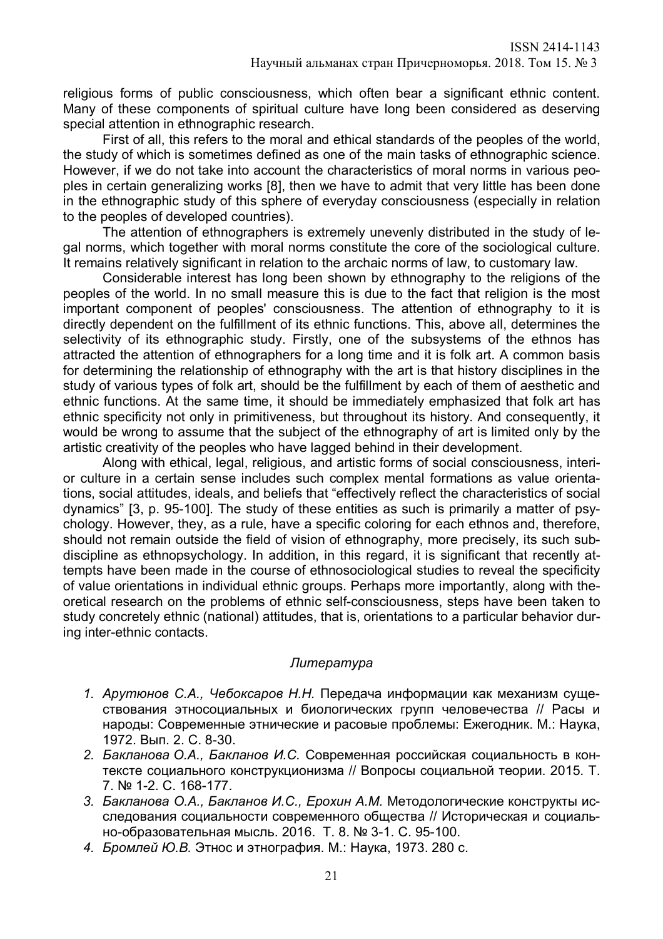religious forms of public consciousness, which often bear a significant ethnic content. Many of these components of spiritual culture have long been considered as deserving special attention in ethnographic research.

First of all, this refers to the moral and ethical standards of the peoples of the world, the study of which is sometimes defined as one of the main tasks of ethnographic science. However, if we do not take into account the characteristics of moral norms in various peoples in certain generalizing works [8], then we have to admit that very little has been done in the ethnographic study of this sphere of everyday consciousness (especially in relation to the peoples of developed countries).

The attention of ethnographers is extremely unevenly distributed in the study of legal norms, which together with moral norms constitute the core of the sociological culture. It remains relatively significant in relation to the archaic norms of law, to customary law.

Considerable interest has long been shown by ethnography to the religions of the peoples of the world. In no small measure this is due to the fact that religion is the most important component of peoples' consciousness. The attention of ethnography to it is directly dependent on the fulfillment of its ethnic functions. This, above all, determines the selectivity of its ethnographic study. Firstly, one of the subsystems of the ethnos has attracted the attention of ethnographers for a long time and it is folk art. A common basis for determining the relationship of ethnography with the art is that history disciplines in the study of various types of folk art, should be the fulfillment by each of them of aesthetic and ethnic functions. At the same time, it should be immediately emphasized that folk art has ethnic specificity not only in primitiveness, but throughout its history. And consequently, it would be wrong to assume that the subject of the ethnography of art is limited only by the artistic creativity of the peoples who have lagged behind in their development.

Along with ethical, legal, religious, and artistic forms of social consciousness, interior culture in a certain sense includes such complex mental formations as value orientations, social attitudes, ideals, and beliefs that "effectively reflect the characteristics of social dynamics" [3, p. 95-100]. The study of these entities as such is primarily a matter of psychology. However, they, as a rule, have a specific coloring for each ethnos and, therefore, should not remain outside the field of vision of ethnography, more precisely, its such subdiscipline as ethnopsychology. In addition, in this regard, it is significant that recently attempts have been made in the course of ethnosociological studies to reveal the specificity of value orientations in individual ethnic groups. Perhaps more importantly, along with theoretical research on the problems of ethnic self-consciousness, steps have been taken to study concretely ethnic (national) attitudes, that is, orientations to a particular behavior during inter-ethnic contacts.

## *Литература*

- *1. Арутюнов С.А., Чебоксаров Н.Н.* Передача информации как механизм существования этносоциальных и биологических групп человечества // Расы и народы: Современные этнические и расовые проблемы: Ежегодник. М.: Наука, 1972. Вып. 2. С. 8-30.
- *2. Бакланова О.А., Бакланов И.С.* Современная российская социальность в контексте социального конструкционизма // Вопросы социальной теории. 2015. Т. 7. № 1-2. С. 168-177.
- *3. Бакланова О.А., Бакланов И.С., Ерохин А.М.* Методологические конструкты исследования социальности современного общества // Историческая и социально-образовательная мысль. 2016. Т. 8. № 3-1. С. 95-100.
- *4. Бромлей Ю.В.* Этнос и этнография. М.: Наука, 1973. 280 с.